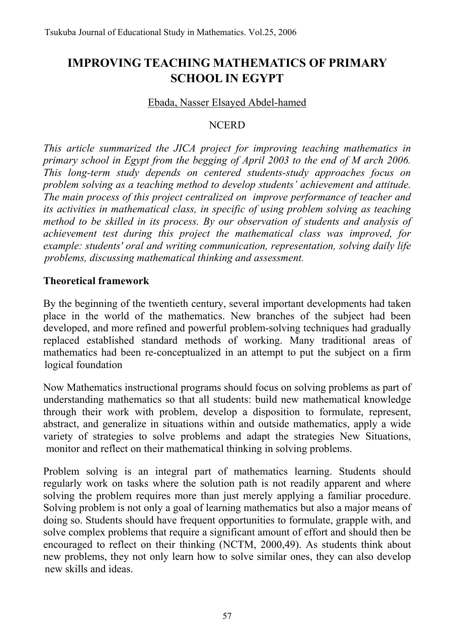# **IMPROVING TEACHING MATHEMATICS OF PRIMARY SCHOOL IN EGYPT**

#### Ebada, Nasser Elsayed Abdel-hamed

#### **NCERD**

*This article summarized the JICA project for improving teaching mathematics in*  primary school in Egypt from the begging of April 2003 to the end of M arch 2006. *This long-term study depends on centered students-study approaches focus on problem solving as a teaching method to develop students' achievement and attitude. The main process of this project centralized on improve performance of teacher and its activities in mathematical class, in specific of using problem solving as teaching method to be skilled in its process. By our observation of students and analysis of achievement test during this project the mathematical class was improved, for example: students' oral and writing communication, representation, solving daily life problems, discussing mathematical thinking and assessment.* 

#### **Theoretical framework**

By the beginning of the twentieth century, several important developments had taken place in the world of the mathematics. New branches of the subject had been developed, and more refined and powerful problem-solving techniques had gradually replaced established standard methods of working. Many traditional areas of mathematics had been re-conceptualized in an attempt to put the subject on a firm logical foundation

Now Mathematics instructional programs should focus on solving problems as part of understanding mathematics so that all students: build new mathematical knowledge through their work with problem, develop a disposition to formulate, represent, abstract, and generalize in situations within and outside mathematics, apply a wide variety of strategies to solve problems and adapt the strategies New Situations, monitor and reflect on their mathematical thinking in solving problems.

Problem solving is an integral part of mathematics learning. Students should regularly work on tasks where the solution path is not readily apparent and where solving the problem requires more than just merely applying a familiar procedure. Solving problem is not only a goal of learning mathematics but also a major means of doing so. Students should have frequent opportunities to formulate, grapple with, and solve complex problems that require a significant amount of effort and should then be encouraged to reflect on their thinking (NCTM, 2000,49). As students think about new problems, they not only learn how to solve similar ones, they can also develop new skills and ideas.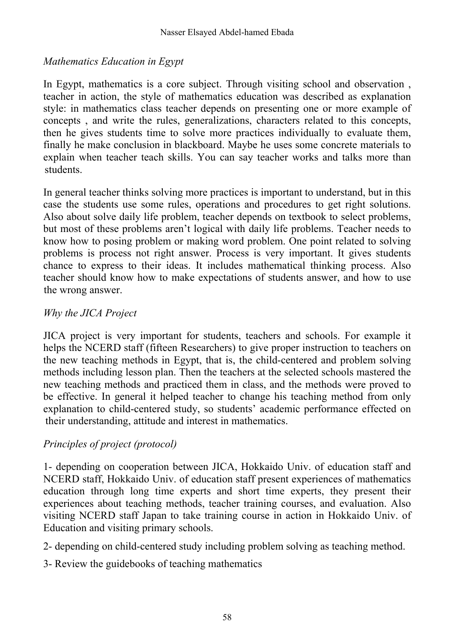### *Mathematics Education in Egypt*

In Egypt, mathematics is a core subject. Through visiting school and observation , teacher in action, the style of mathematics education was described as explanation style: in mathematics class teacher depends on presenting one or more example of concepts , and write the rules, generalizations, characters related to this concepts, then he gives students time to solve more practices individually to evaluate them, finally he make conclusion in blackboard. Maybe he uses some concrete materials to explain when teacher teach skills. You can say teacher works and talks more than students.

In general teacher thinks solving more practices is important to understand, but in this case the students use some rules, operations and procedures to get right solutions. Also about solve daily life problem, teacher depends on textbook to select problems, but most of these problems aren't logical with daily life problems. Teacher needs to know how to posing problem or making word problem. One point related to solving problems is process not right answer. Process is very important. It gives students chance to express to their ideas. It includes mathematical thinking process. Also teacher should know how to make expectations of students answer, and how to use the wrong answer.

#### *Why the JICA Project*

JICA project is very important for students, teachers and schools. For example it helps the NCERD staff (fifteen Researchers) to give proper instruction to teachers on the new teaching methods in Egypt, that is, the child-centered and problem solving methods including lesson plan. Then the teachers at the selected schools mastered the new teaching methods and practiced them in class, and the methods were proved to be effective. In general it helped teacher to change his teaching method from only explanation to child-centered study, so students' academic performance effected on their understanding, attitude and interest in mathematics.

### *Principles of project (protocol)*

1- depending on cooperation between JICA, Hokkaido Univ. of education staff and NCERD staff, Hokkaido Univ. of education staff present experiences of mathematics education through long time experts and short time experts, they present their experiences about teaching methods, teacher training courses, and evaluation. Also visiting NCERD staff Japan to take training course in action in Hokkaido Univ. of Education and visiting primary schools.

- 2- depending on child-centered study including problem solving as teaching method.
- 3- Review the guidebooks of teaching mathematics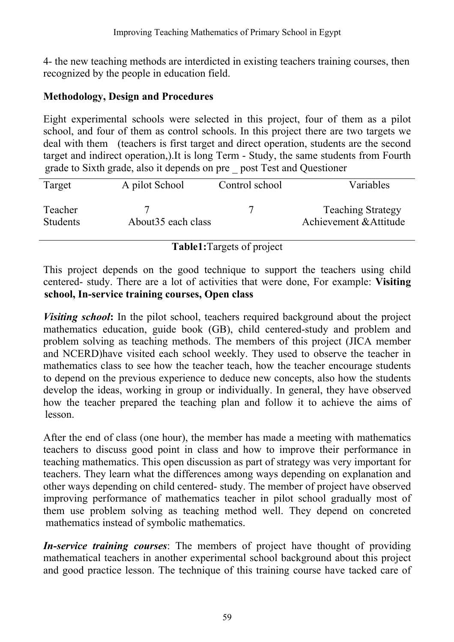4- the new teaching methods are interdicted in existing teachers training courses, then recognized by the people in education field.

### **Methodology, Design and Procedures**

Eight experimental schools were selected in this project, four of them as a pilot school, and four of them as control schools. In this project there are two targets we deal with them (teachers is first target and direct operation, students are the second target and indirect operation,).It is long Term - Study, the same students from Fourth grade to Sixth grade, also it depends on pre \_ post Test and Questioner

| Target                     | A pilot School      | Control school | Variables                                          |
|----------------------------|---------------------|----------------|----------------------------------------------------|
| Teacher<br><b>Students</b> | About 35 each class |                | <b>Teaching Strategy</b><br>Achievement & Attitude |

### **Table1:**Targets of project

This project depends on the good technique to support the teachers using child centered- study. There are a lot of activities that were done, For example: **Visiting school, In-service training courses, Open class** 

*Visiting school*: In the pilot school, teachers required background about the project mathematics education, guide book (GB), child centered-study and problem and problem solving as teaching methods. The members of this project (JICA member and NCERD)have visited each school weekly. They used to observe the teacher in mathematics class to see how the teacher teach, how the teacher encourage students to depend on the previous experience to deduce new concepts, also how the students develop the ideas, working in group or individually. In general, they have observed how the teacher prepared the teaching plan and follow it to achieve the aims of lesson.

After the end of class (one hour), the member has made a meeting with mathematics teachers to discuss good point in class and how to improve their performance in teaching mathematics. This open discussion as part of strategy was very important for teachers. They learn what the differences among ways depending on explanation and other ways depending on child centered- study. The member of project have observed improving performance of mathematics teacher in pilot school gradually most of them use problem solving as teaching method well. They depend on concreted mathematics instead of symbolic mathematics.

*In-service training courses*: The members of project have thought of providing mathematical teachers in another experimental school background about this project and good practice lesson. The technique of this training course have tacked care of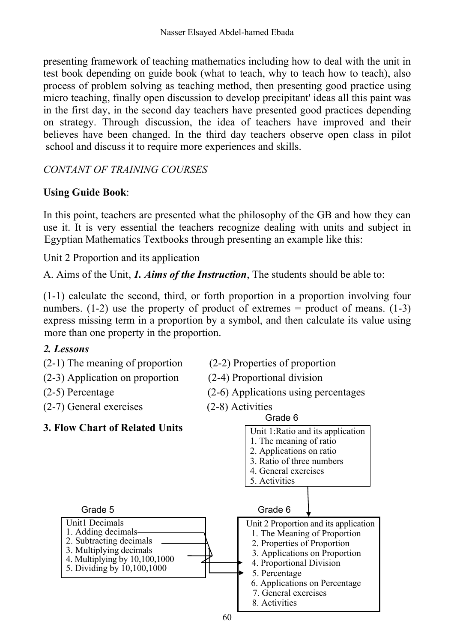presenting framework of teaching mathematics including how to deal with the unit in test book depending on guide book (what to teach, why to teach how to teach), also process of problem solving as teaching method, then presenting good practice using micro teaching, finally open discussion to develop precipitant' ideas all this paint was in the first day, in the second day teachers have presented good practices depending on strategy. Through discussion, the idea of teachers have improved and their believes have been changed. In the third day teachers observe open class in pilot school and discuss it to require more experiences and skills.

### *CONTANT OF TRAINING COURSES*

### **Using Guide Book**:

In this point, teachers are presented what the philosophy of the GB and how they can use it. It is very essential the teachers recognize dealing with units and subject in Egyptian Mathematics Textbooks through presenting an example like this:

Unit 2 Proportion and its application

A. Aims of the Unit, *1. Aims of the Instruction*, The students should be able to:

(1-1) calculate the second, third, or forth proportion in a proportion involving four numbers.  $(1-2)$  use the property of product of extremes = product of means.  $(1-3)$ express missing term in a proportion by a symbol, and then calculate its value using more than one property in the proportion.

### *2. Lessons*

- (2-1) The meaning of proportion (2-2) Properties of proportion
- (2-3) Application on proportion (2-4) Proportional division
- 
- (2-7) General exercises (2-8) Activities
- 
- 
- (2-5) Percentage (2-6) Applications using percentages

Grade 6



### **3. Flow Chart of Related Units**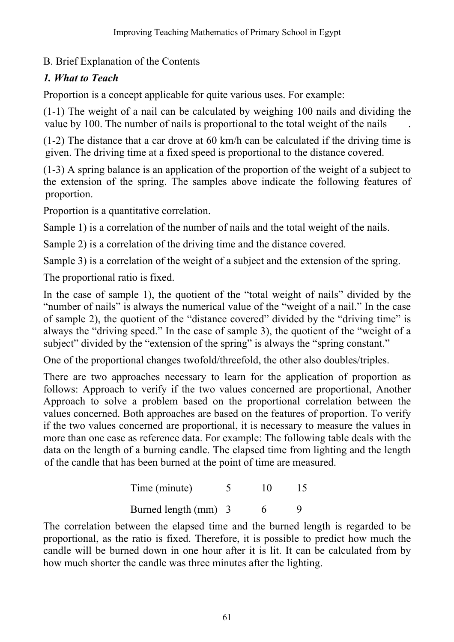## B. Brief Explanation of the Contents

## *1. What to Teach*

Proportion is a concept applicable for quite various uses. For example:

(1-1) The weight of a nail can be calculated by weighing 100 nails and dividing the value by 100. The number of nails is proportional to the total weight of the nails

(1-2) The distance that a car drove at 60 km/h can be calculated if the driving time is given. The driving time at a fixed speed is proportional to the distance covered.

(1-3) A spring balance is an application of the proportion of the weight of a subject to the extension of the spring. The samples above indicate the following features of proportion.

Proportion is a quantitative correlation.

Sample 1) is a correlation of the number of nails and the total weight of the nails.

Sample 2) is a correlation of the driving time and the distance covered.

Sample 3) is a correlation of the weight of a subject and the extension of the spring.

The proportional ratio is fixed.

In the case of sample 1), the quotient of the "total weight of nails" divided by the "number of nails" is always the numerical value of the "weight of a nail." In the case of sample 2), the quotient of the "distance covered" divided by the "driving time" is always the "driving speed." In the case of sample 3), the quotient of the "weight of a subject" divided by the "extension of the spring" is always the "spring constant."

One of the proportional changes twofold/threefold, the other also doubles/triples.

There are two approaches necessary to learn for the application of proportion as follows: Approach to verify if the two values concerned are proportional, Another Approach to solve a problem based on the proportional correlation between the values concerned. Both approaches are based on the features of proportion. To verify if the two values concerned are proportional, it is necessary to measure the values in more than one case as reference data. For example: The following table deals with the data on the length of a burning candle. The elapsed time from lighting and the length of the candle that has been burned at the point of time are measured.

| Time (minute)        | 10 | 15 |
|----------------------|----|----|
| Burned length (mm) 3 |    |    |

The correlation between the elapsed time and the burned length is regarded to be proportional, as the ratio is fixed. Therefore, it is possible to predict how much the candle will be burned down in one hour after it is lit. It can be calculated from by how much shorter the candle was three minutes after the lighting.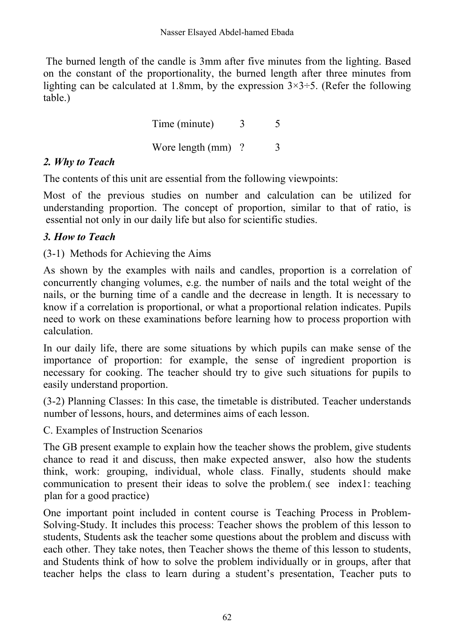The burned length of the candle is 3mm after five minutes from the lighting. Based on the constant of the proportionality, the burned length after three minutes from lighting can be calculated at 1.8mm, by the expression  $3\times3=5$ . (Refer the following table.)

> Time (minute) 3 5 Wore length  $\text{(mm)}$  ?  $\qquad$  3

### *2. Why to Teach*

The contents of this unit are essential from the following viewpoints:

Most of the previous studies on number and calculation can be utilized for understanding proportion. The concept of proportion, similar to that of ratio, is essential not only in our daily life but also for scientific studies.

### *3. How to Teach*

(3-1) Methods for Achieving the Aims

As shown by the examples with nails and candles, proportion is a correlation of concurrently changing volumes, e.g. the number of nails and the total weight of the nails, or the burning time of a candle and the decrease in length. It is necessary to know if a correlation is proportional, or what a proportional relation indicates. Pupils need to work on these examinations before learning how to process proportion with calculation.

In our daily life, there are some situations by which pupils can make sense of the importance of proportion: for example, the sense of ingredient proportion is necessary for cooking. The teacher should try to give such situations for pupils to easily understand proportion.

(3-2) Planning Classes: In this case, the timetable is distributed. Teacher understands number of lessons, hours, and determines aims of each lesson.

C. Examples of Instruction Scenarios

The GB present example to explain how the teacher shows the problem, give students chance to read it and discuss, then make expected answer, also how the students think, work: grouping, individual, whole class. Finally, students should make communication to present their ideas to solve the problem.( see index1: teaching plan for a good practice)

One important point included in content course is Teaching Process in Problem-Solving-Study. It includes this process: Teacher shows the problem of this lesson to students, Students ask the teacher some questions about the problem and discuss with each other. They take notes, then Teacher shows the theme of this lesson to students, and Students think of how to solve the problem individually or in groups, after that teacher helps the class to learn during a student's presentation, Teacher puts to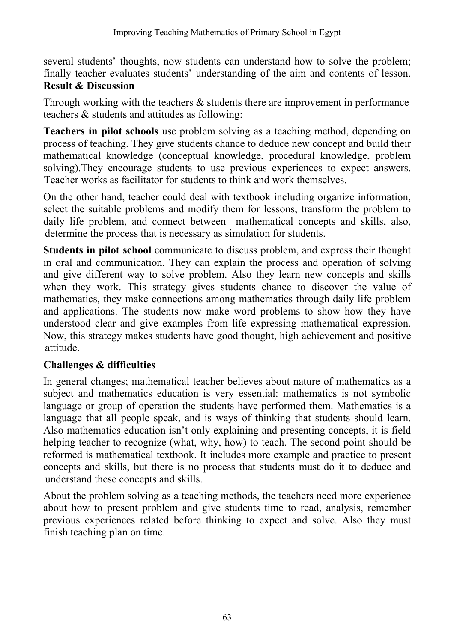several students' thoughts, now students can understand how to solve the problem; finally teacher evaluates students' understanding of the aim and contents of lesson.  **Result & Discussion**

Through working with the teachers  $\&$  students there are improvement in performance teachers & students and attitudes as following:

**Teachers in pilot schools** use problem solving as a teaching method, depending on process of teaching. They give students chance to deduce new concept and build their mathematical knowledge (conceptual knowledge, procedural knowledge, problem solving).They encourage students to use previous experiences to expect answers. Teacher works as facilitator for students to think and work themselves.

On the other hand, teacher could deal with textbook including organize information, select the suitable problems and modify them for lessons, transform the problem to daily life problem, and connect between mathematical concepts and skills, also, determine the process that is necessary as simulation for students.

**Students in pilot school** communicate to discuss problem, and express their thought in oral and communication. They can explain the process and operation of solving and give different way to solve problem. Also they learn new concepts and skills when they work. This strategy gives students chance to discover the value of mathematics, they make connections among mathematics through daily life problem and applications. The students now make word problems to show how they have understood clear and give examples from life expressing mathematical expression. Now, this strategy makes students have good thought, high achievement and positive attitude.

### **Challenges & difficulties**

In general changes; mathematical teacher believes about nature of mathematics as a subject and mathematics education is very essential: mathematics is not symbolic language or group of operation the students have performed them. Mathematics is a language that all people speak, and is ways of thinking that students should learn. Also mathematics education isn't only explaining and presenting concepts, it is field helping teacher to recognize (what, why, how) to teach. The second point should be reformed is mathematical textbook. It includes more example and practice to present concepts and skills, but there is no process that students must do it to deduce and understand these concepts and skills.

About the problem solving as a teaching methods, the teachers need more experience about how to present problem and give students time to read, analysis, remember previous experiences related before thinking to expect and solve. Also they must finish teaching plan on time.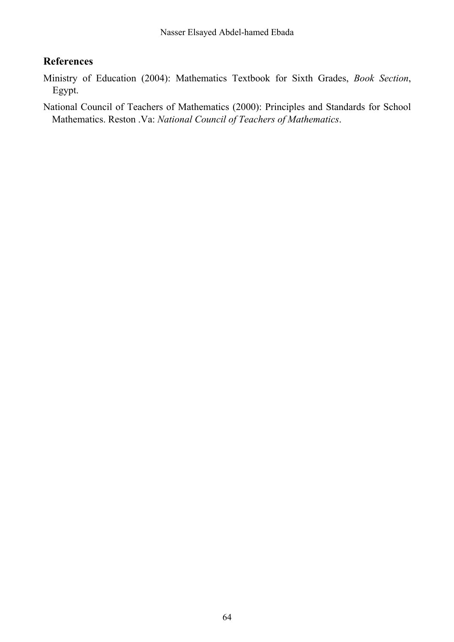### **References**

Ministry of Education (2004): Mathematics Textbook for Sixth Grades, *Book Section*, Egypt.

National Council of Teachers of Mathematics (2000): Principles and Standards for School Mathematics. Reston .Va: *National Council of Teachers of Mathematics*.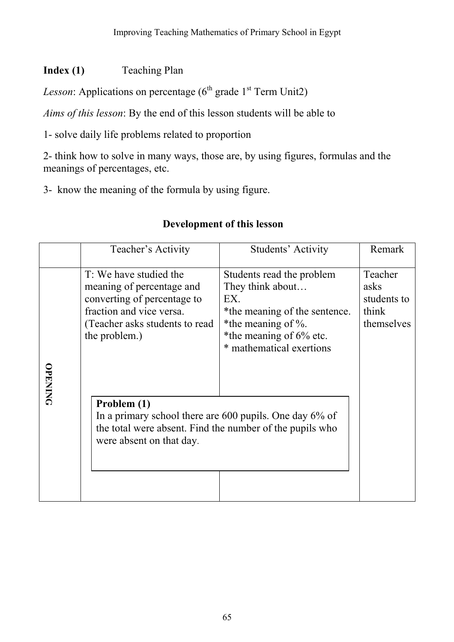## **Index (1)** Teaching Plan

*Lesson*: Applications on percentage  $(6^{th}$  grade  $1^{st}$  Term Unit2)

*Aims of this lesson*: By the end of this lesson students will be able to

1- solve daily life problems related to proportion

2- think how to solve in many ways, those are, by using figures, formulas and the meanings of percentages, etc.

3- know the meaning of the formula by using figure.

|                | Teacher's Activity                                                                                                                                                 | Students' Activity                                                                                                                                                     | Remark                                                |
|----------------|--------------------------------------------------------------------------------------------------------------------------------------------------------------------|------------------------------------------------------------------------------------------------------------------------------------------------------------------------|-------------------------------------------------------|
| <b>OPENING</b> | T: We have studied the<br>meaning of percentage and<br>converting of percentage to<br>fraction and vice versa.<br>(Teacher asks students to read)<br>the problem.) | Students read the problem<br>They think about<br>EX.<br>*the meaning of the sentence.<br>*the meaning of $\%$ .<br>*the meaning of 6% etc.<br>* mathematical exertions | Teacher<br>asks<br>students to<br>think<br>themselves |
|                | Problem (1)<br>In a primary school there are 600 pupils. One day 6% of<br>the total were absent. Find the number of the pupils who<br>were absent on that day.     |                                                                                                                                                                        |                                                       |

### **Development of this lesson**